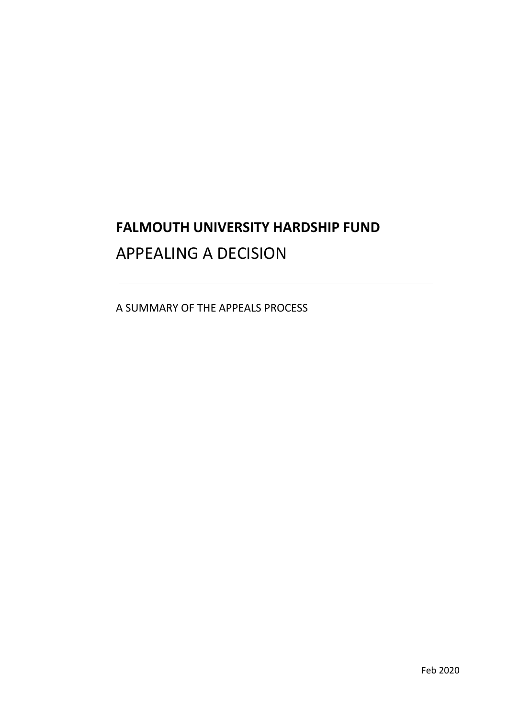# **FALMOUTH UNIVERSITY HARDSHIP FUND**  APPEALING A DECISION

A SUMMARY OF THE APPEALS PROCESS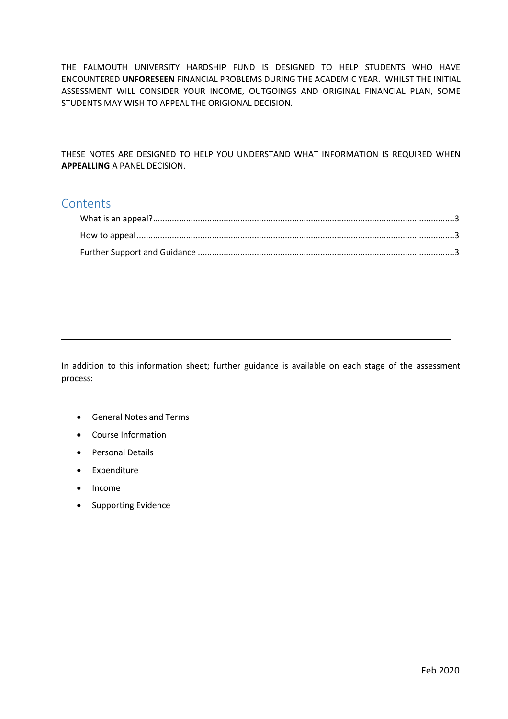THE FALMOUTH UNIVERSITY HARDSHIP FUND IS DESIGNED TO HELP STUDENTS WHO HAVE ENCOUNTERED **UNFORESEEN** FINANCIAL PROBLEMS DURING THE ACADEMIC YEAR. WHILST THE INITIAL ASSESSMENT WILL CONSIDER YOUR INCOME, OUTGOINGS AND ORIGINAL FINANCIAL PLAN, SOME STUDENTS MAY WISH TO APPEAL THE ORIGIONAL DECISION.

 THESE NOTES ARE DESIGNED TO HELP YOU UNDERSTAND WHAT INFORMATION IS REQUIRED WHEN **APPEALLING** A PANEL DECISION.

### **Contents**

 In addition to this information sheet; further guidance is available on each stage of the assessment process:

- General Notes and Terms
- Course Information
- Personal Details
- Expenditure
- Income
- Supporting Evidence